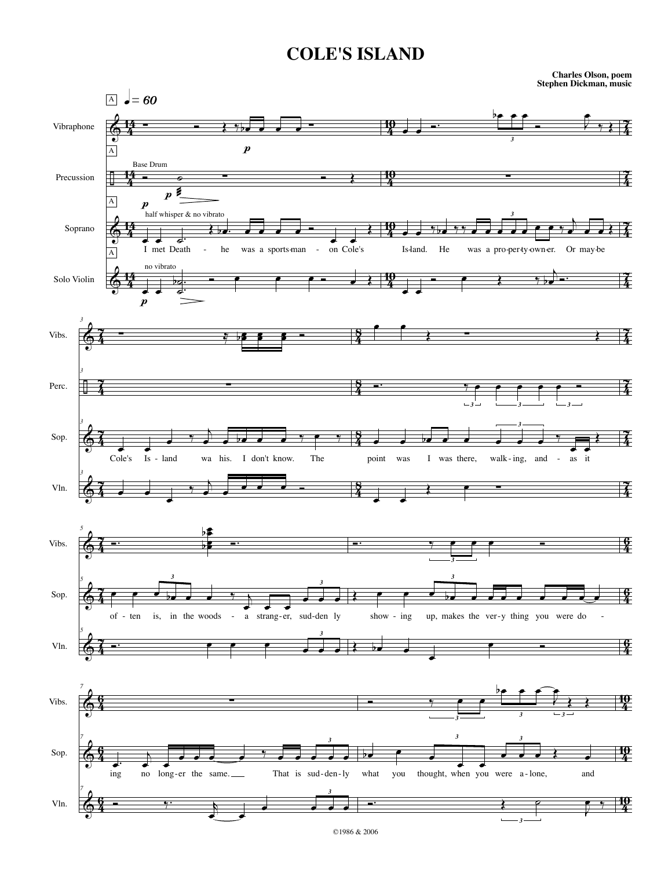## **COLE'S ISLAND**

**Charles Olson, poem Stephen Dickman, music**

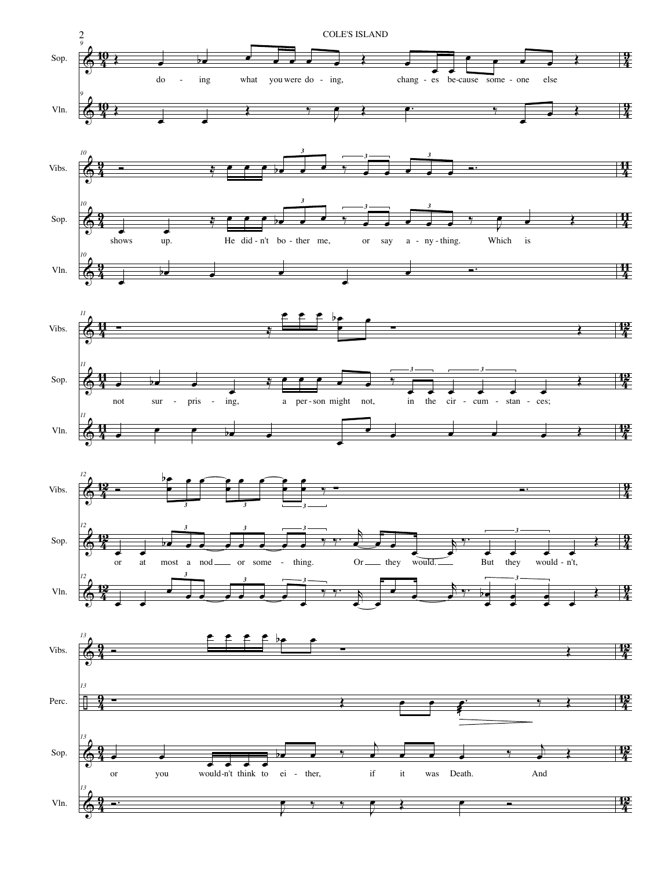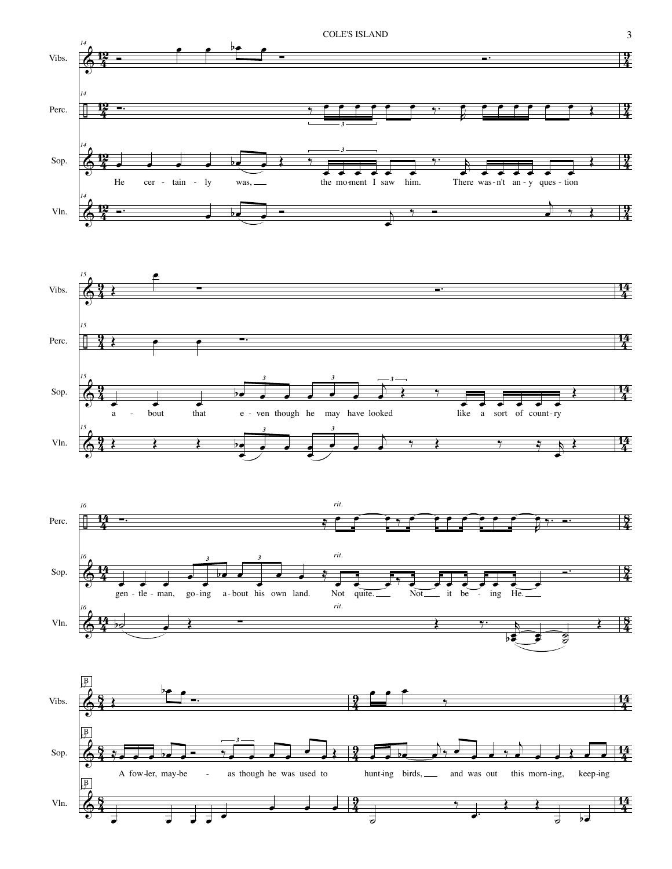





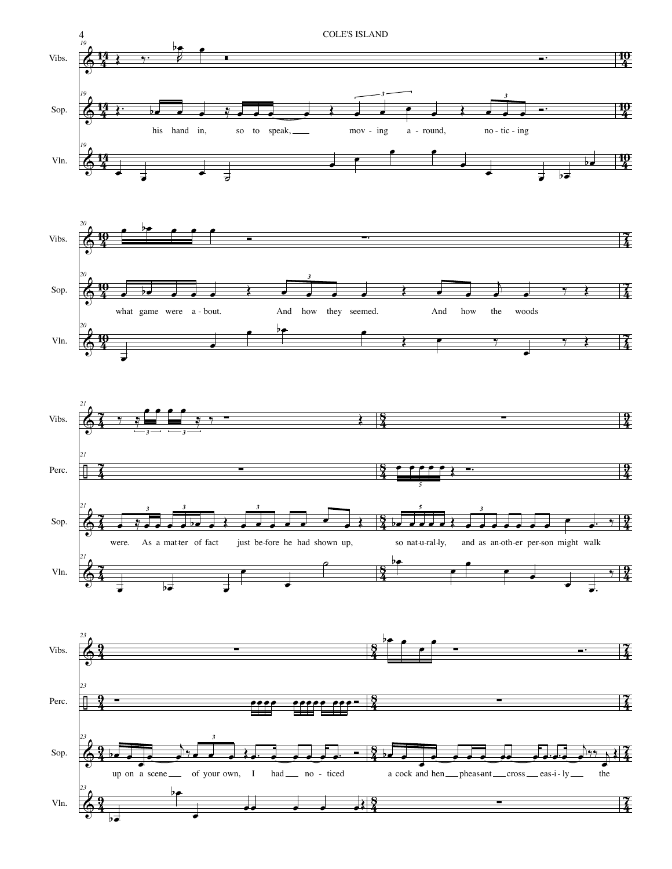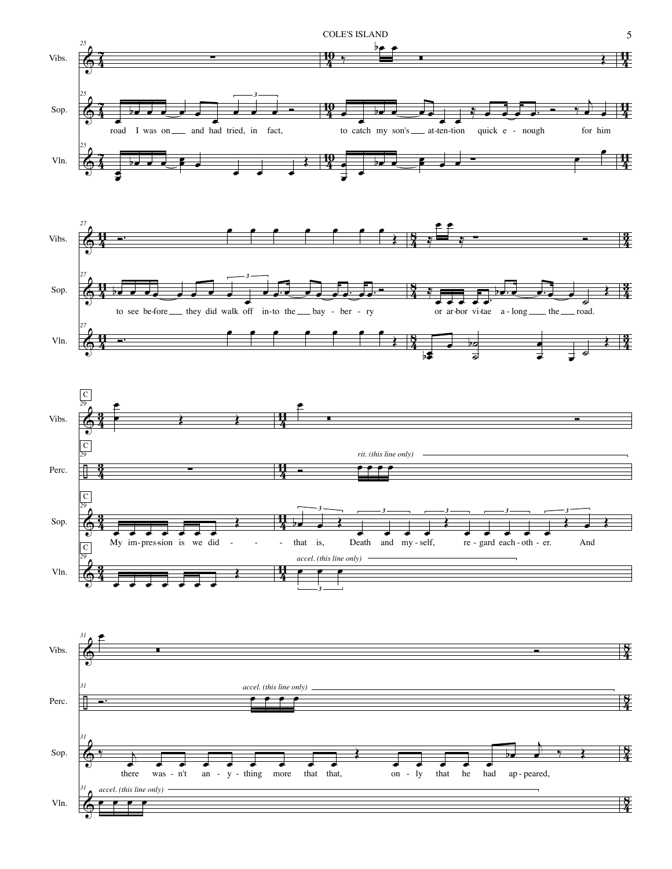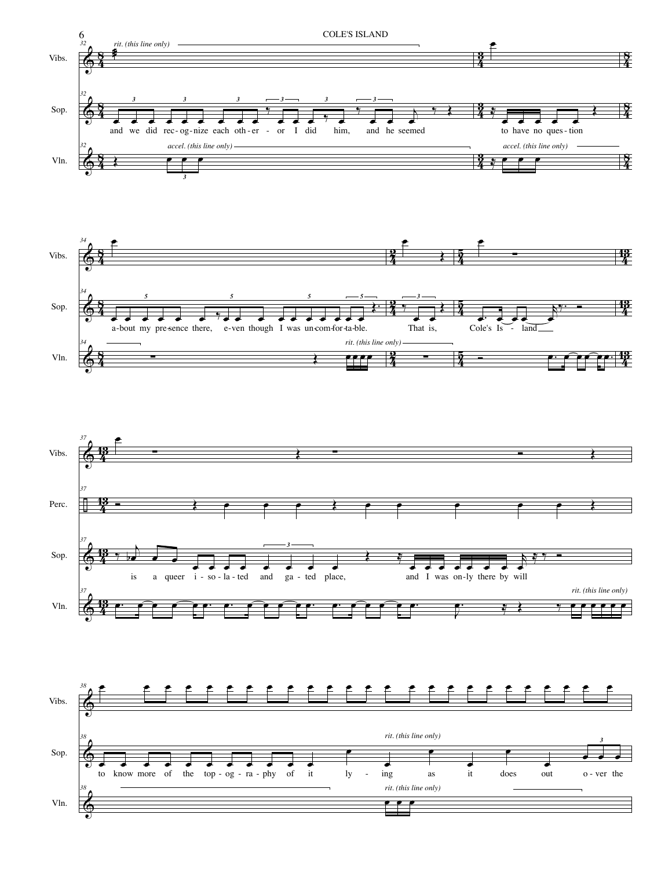





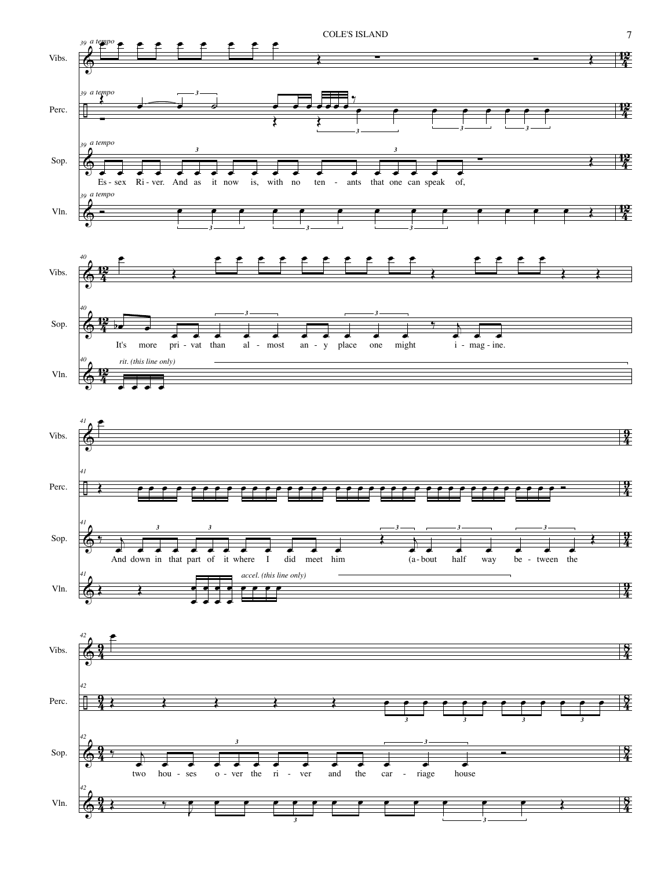## COLE'S ISLAND 7







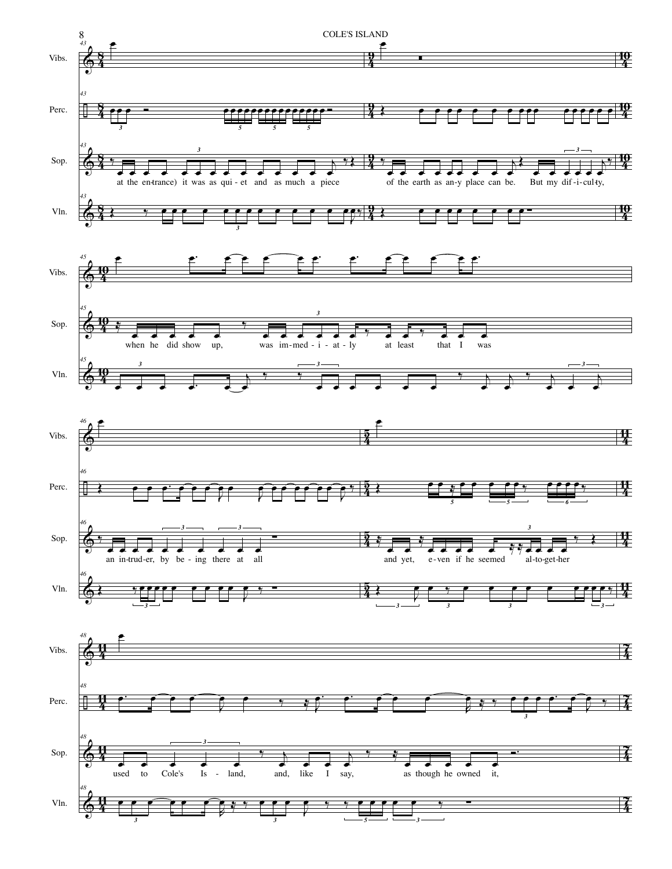





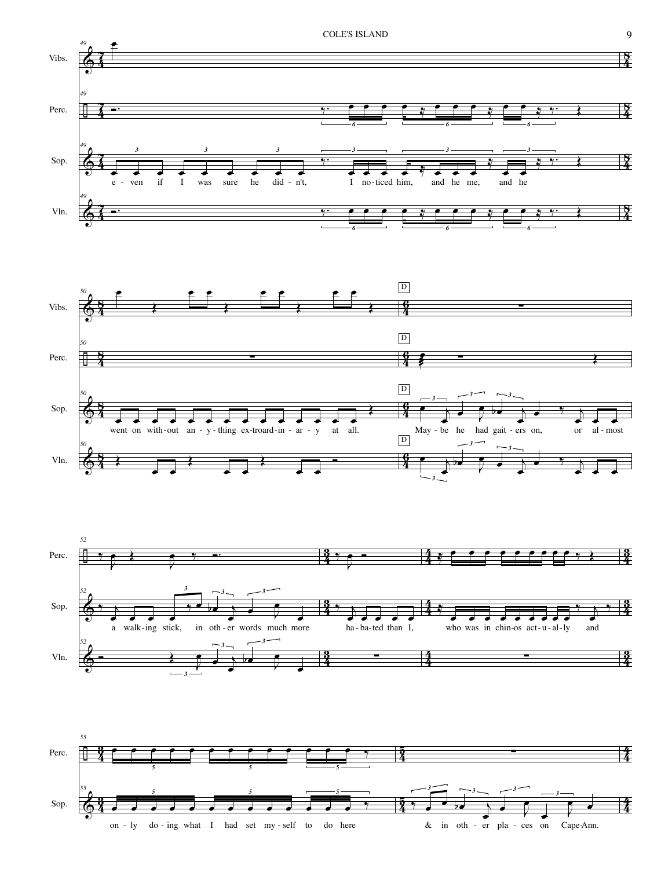







COLE'S ISLAND 9